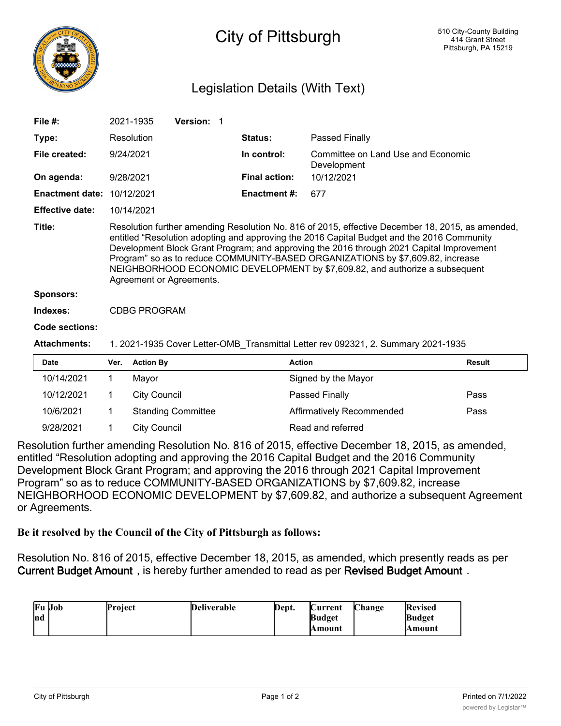

## City of Pittsburgh

## Legislation Details (With Text)

| File $#$ :                                                                                               |                                                                                                                                                                                                                                                                                                                                                                                                                                                                                         | 2021-1935           | Version: 1                |                                                   |                           |        |  |
|----------------------------------------------------------------------------------------------------------|-----------------------------------------------------------------------------------------------------------------------------------------------------------------------------------------------------------------------------------------------------------------------------------------------------------------------------------------------------------------------------------------------------------------------------------------------------------------------------------------|---------------------|---------------------------|---------------------------------------------------|---------------------------|--------|--|
| Type:                                                                                                    |                                                                                                                                                                                                                                                                                                                                                                                                                                                                                         | Resolution          |                           | Status:                                           | Passed Finally            |        |  |
| File created:                                                                                            | 9/24/2021                                                                                                                                                                                                                                                                                                                                                                                                                                                                               |                     | In control:               | Committee on Land Use and Economic<br>Development |                           |        |  |
| On agenda:                                                                                               |                                                                                                                                                                                                                                                                                                                                                                                                                                                                                         | 9/28/2021           |                           | <b>Final action:</b>                              | 10/12/2021                |        |  |
| <b>Enactment date:</b>                                                                                   |                                                                                                                                                                                                                                                                                                                                                                                                                                                                                         | 10/12/2021          |                           | <b>Enactment #:</b>                               | 677                       |        |  |
| <b>Effective date:</b>                                                                                   |                                                                                                                                                                                                                                                                                                                                                                                                                                                                                         | 10/14/2021          |                           |                                                   |                           |        |  |
| Title:                                                                                                   | Resolution further amending Resolution No. 816 of 2015, effective December 18, 2015, as amended,<br>entitled "Resolution adopting and approving the 2016 Capital Budget and the 2016 Community<br>Development Block Grant Program; and approving the 2016 through 2021 Capital Improvement<br>Program" so as to reduce COMMUNITY-BASED ORGANIZATIONS by \$7,609.82, increase<br>NEIGHBORHOOD ECONOMIC DEVELOPMENT by \$7,609.82, and authorize a subsequent<br>Agreement or Agreements. |                     |                           |                                                   |                           |        |  |
| <b>Sponsors:</b>                                                                                         |                                                                                                                                                                                                                                                                                                                                                                                                                                                                                         |                     |                           |                                                   |                           |        |  |
|                                                                                                          | Indexes:<br><b>CDBG PROGRAM</b>                                                                                                                                                                                                                                                                                                                                                                                                                                                         |                     |                           |                                                   |                           |        |  |
| Code sections:                                                                                           |                                                                                                                                                                                                                                                                                                                                                                                                                                                                                         |                     |                           |                                                   |                           |        |  |
| <b>Attachments:</b><br>1. 2021-1935 Cover Letter-OMB_Transmittal Letter rev 092321, 2. Summary 2021-1935 |                                                                                                                                                                                                                                                                                                                                                                                                                                                                                         |                     |                           |                                                   |                           |        |  |
| <b>Date</b>                                                                                              | Ver.                                                                                                                                                                                                                                                                                                                                                                                                                                                                                    | <b>Action By</b>    |                           | <b>Action</b>                                     |                           | Result |  |
| 10/14/2021                                                                                               | 1.                                                                                                                                                                                                                                                                                                                                                                                                                                                                                      | Mayor               |                           |                                                   | Signed by the Mayor       |        |  |
| 10/12/2021                                                                                               | 1.                                                                                                                                                                                                                                                                                                                                                                                                                                                                                      | <b>City Council</b> |                           |                                                   | Passed Finally            | Pass   |  |
| 10/6/2021                                                                                                | 1                                                                                                                                                                                                                                                                                                                                                                                                                                                                                       |                     | <b>Standing Committee</b> |                                                   | Affirmatively Recommended | Pass   |  |

9/28/2021 1 City Council Council Read and referred

Resolution further amending Resolution No. 816 of 2015, effective December 18, 2015, as amended, entitled "Resolution adopting and approving the 2016 Capital Budget and the 2016 Community Development Block Grant Program; and approving the 2016 through 2021 Capital Improvement Program" so as to reduce COMMUNITY-BASED ORGANIZATIONS by \$7,609.82, increase NEIGHBORHOOD ECONOMIC DEVELOPMENT by \$7,609.82, and authorize a subsequent Agreement or Agreements.

**Be it resolved by the Council of the City of Pittsburgh as follows:**

Resolution No. 816 of 2015, effective December 18, 2015, as amended, which presently reads as per **Current Budget Amount** , is hereby further amended to read as per **Revised Budget Amount** .

| <b>Fu</b> Job | <b>Project</b> | <b>Deliverable</b> | Dept. | Current                 | Change | <b>Revised</b>          |
|---------------|----------------|--------------------|-------|-------------------------|--------|-------------------------|
| Ind           |                |                    |       | <b>Budget</b><br>Amount |        | <b>Budget</b><br>Amount |

development in the second second in the second second in the second second second in the second second second <br>The second second second second second second second second second second second second second second second s